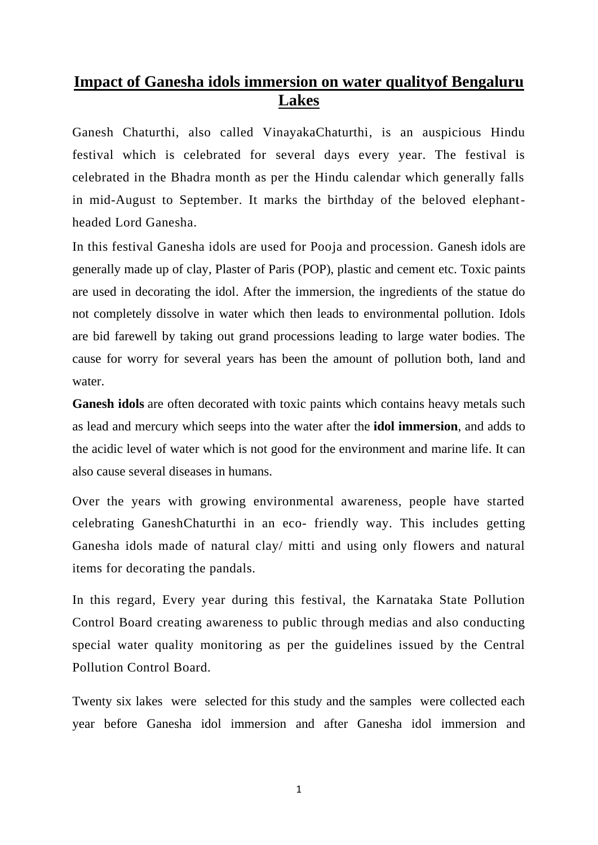## **Impact of Ganesha idols immersion on water qualityof Bengaluru Lakes**

Ganesh Chaturthi, also called VinayakaChaturthi, is an auspicious Hindu festival which is celebrated for several days every year. The festival is celebrated in the Bhadra month as per the Hindu calendar which generally falls in mid-August to September. It marks the birthday of the beloved elephantheaded Lord Ganesha.

In this festival Ganesha idols are used for Pooja and procession. Ganesh idols are generally made up of clay, Plaster of Paris (POP), plastic and cement etc. Toxic paints are used in decorating the idol. After the immersion, the ingredients of the statue do not completely dissolve in water which then leads to environmental pollution. Idols are bid farewell by taking out grand processions leading to large water bodies. The cause for worry for several years has been the amount of pollution both, land and water.

**Ganesh idols** are often decorated with toxic paints which contains heavy metals such as lead and mercury which seeps into the water after the **idol immersion**, and adds to the acidic level of water which is not good for the environment and marine life. It can also cause several diseases in humans.

Over the years with growing environmental awareness, people have started celebrating GaneshChaturthi in an eco- friendly way. This includes getting Ganesha idols made of natural clay/ mitti and using only flowers and natural items for decorating the pandals.

In this regard, Every year during this festival, the Karnataka State Pollution Control Board creating awareness to public through medias and also conducting special water quality monitoring as per the guidelines issued by the Central Pollution Control Board.

Twenty six lakes were selected for this study and the samples were collected each year before Ganesha idol immersion and after Ganesha idol immersion and

1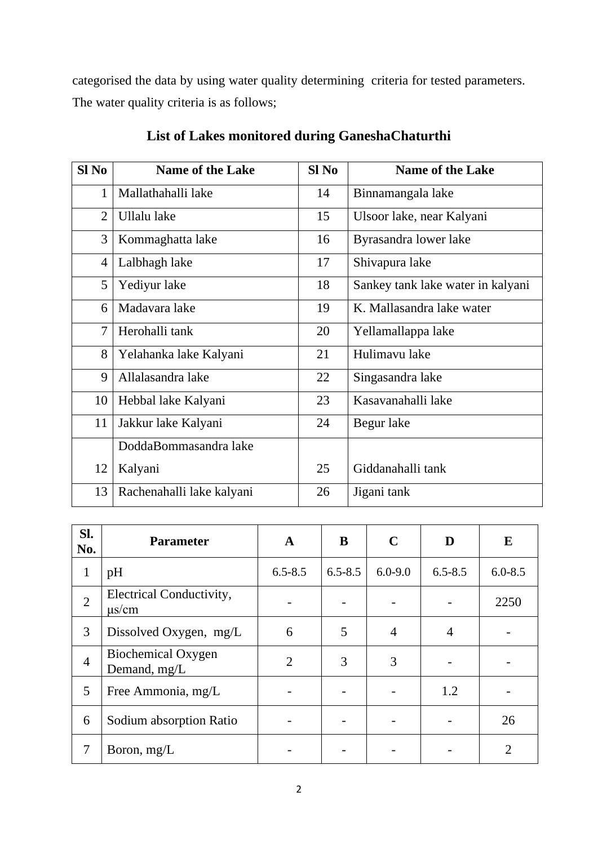categorised the data by using water quality determining criteria for tested parameters. The water quality criteria is as follows;

| $SI$ No        | <b>Name of the Lake</b>   | Sl <sub>No</sub> | <b>Name of the Lake</b>           |
|----------------|---------------------------|------------------|-----------------------------------|
| 1              | Mallathahalli lake        | 14               | Binnamangala lake                 |
| $\overline{2}$ | Ullalu lake               | 15               | Ulsoor lake, near Kalyani         |
| 3              | Kommaghatta lake          | 16               | Byrasandra lower lake             |
| $\overline{4}$ | Lalbhagh lake             | 17               | Shivapura lake                    |
| 5              | Yediyur lake              | 18               | Sankey tank lake water in kalyani |
| 6              | Madavara lake             | 19               | K. Mallasandra lake water         |
| $\overline{7}$ | Herohalli tank            | 20               | Yellamallappa lake                |
| 8              | Yelahanka lake Kalyani    | 21               | Hulimavu lake                     |
| 9              | Allalasandra lake         | 22               | Singasandra lake                  |
| 10             | Hebbal lake Kalyani       | 23               | Kasavanahalli lake                |
| 11             | Jakkur lake Kalyani       | 24               | Begur lake                        |
|                | DoddaBommasandra lake     |                  |                                   |
| 12             | Kalyani                   | 25               | Giddanahalli tank                 |
| 13             | Rachenahalli lake kalyani | 26               | Jigani tank                       |

## **List of Lakes monitored during GaneshaChaturthi**

| SI.<br>No.     | <b>Parameter</b>                       | A              | B           | $\mathbf C$    | D              | E           |
|----------------|----------------------------------------|----------------|-------------|----------------|----------------|-------------|
| 1              | pH                                     | $6.5 - 8.5$    | $6.5 - 8.5$ | $6.0 - 9.0$    | $6.5 - 8.5$    | $6.0 - 8.5$ |
| $\overline{2}$ | Electrical Conductivity,<br>$\mu$ s/cm |                |             |                |                | 2250        |
| 3              | Dissolved Oxygen, mg/L                 | 6              | 5           | $\overline{4}$ | $\overline{4}$ |             |
| $\overline{4}$ | Biochemical Oxygen<br>Demand, mg/L     | $\overline{2}$ | 3           | 3              |                |             |
| 5              | Free Ammonia, mg/L                     |                |             |                | 1.2            |             |
| 6              | Sodium absorption Ratio                |                |             |                |                | 26          |
| 7              | Boron, $mg/L$                          |                |             |                |                | 2           |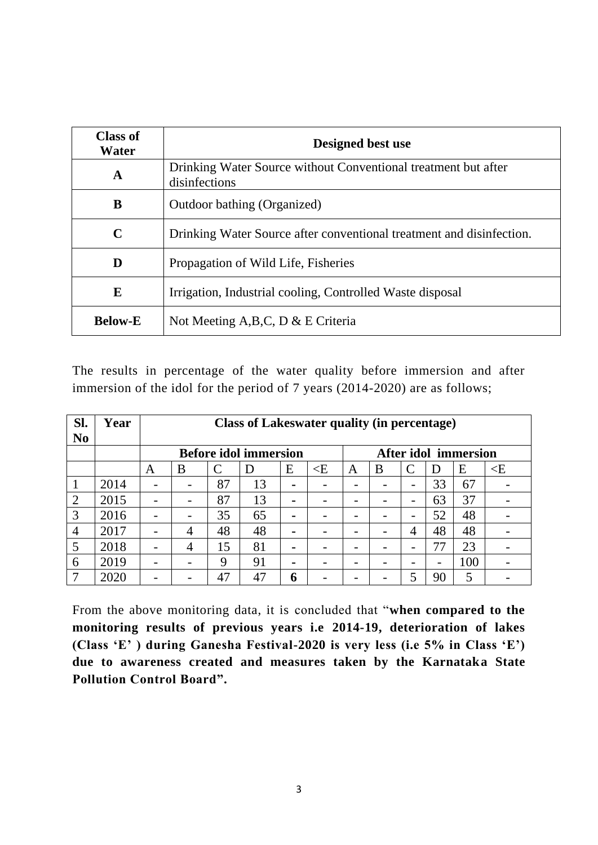| <b>Class of</b><br>Water | Designed best use                                                               |  |  |  |  |  |  |
|--------------------------|---------------------------------------------------------------------------------|--|--|--|--|--|--|
| A                        | Drinking Water Source without Conventional treatment but after<br>disinfections |  |  |  |  |  |  |
| B                        | Outdoor bathing (Organized)                                                     |  |  |  |  |  |  |
| $\mathbf C$              | Drinking Water Source after conventional treatment and disinfection.            |  |  |  |  |  |  |
| D                        | Propagation of Wild Life, Fisheries                                             |  |  |  |  |  |  |
| E                        | Irrigation, Industrial cooling, Controlled Waste disposal                       |  |  |  |  |  |  |
| <b>Below-E</b>           | Not Meeting A, B, C, D & E Criteria                                             |  |  |  |  |  |  |

The results in percentage of the water quality before immersion and after immersion of the idol for the period of 7 years (2014-2020) are as follows;

| SI.<br>N <sub>0</sub> | Year | <b>Class of Lakeswater quality (in percentage)</b> |                |    |    |                |          |                          |   |   |    |     |          |
|-----------------------|------|----------------------------------------------------|----------------|----|----|----------------|----------|--------------------------|---|---|----|-----|----------|
|                       |      | <b>Before idol immersion</b>                       |                |    |    |                |          | After idol immersion     |   |   |    |     |          |
|                       |      | A                                                  | B              | C  | Ð  | E              | $\leq$ E | A                        | B |   | Ð  | E   | $\leq$ E |
| 1                     | 2014 |                                                    |                | 87 | 13 | $\blacksquare$ |          | -                        |   | - | 33 | 67  |          |
| $\overline{2}$        | 2015 |                                                    |                | 87 | 13 | $\blacksquare$ | -        | $\overline{\phantom{0}}$ |   | - | 63 | 37  |          |
| 3                     | 2016 |                                                    |                | 35 | 65 | $\blacksquare$ |          | -                        |   | - | 52 | 48  |          |
| $\overline{4}$        | 2017 |                                                    | 4              | 48 | 48 | $\blacksquare$ |          | -                        |   | 4 | 48 | 48  |          |
| 5                     | 2018 |                                                    | $\overline{4}$ | 15 | 81 | $\blacksquare$ |          | -                        |   |   | 77 | 23  |          |
| 6                     | 2019 |                                                    |                | 9  | 91 |                |          | -                        |   |   |    | 100 |          |
| 7                     | 2020 |                                                    |                | 47 | 47 | 6              |          |                          |   |   | 90 | 5   |          |

From the above monitoring data, it is concluded that "**when compared to the monitoring results of previous years i.e 2014-19, deterioration of lakes (Class 'E' ) during Ganesha Festival-2020 is very less (i.e 5% in Class 'E') due to awareness created and measures taken by the Karnataka State Pollution Control Board".**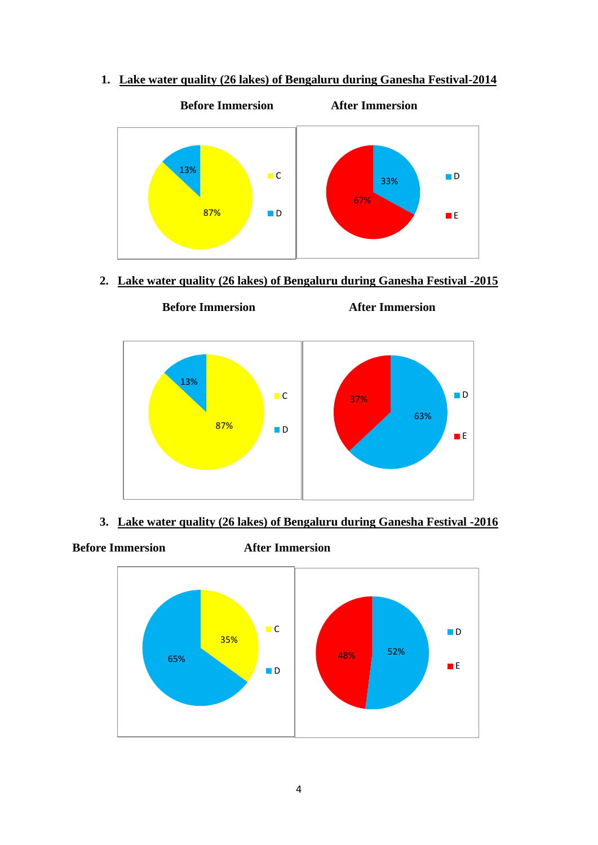**1. Lake water quality (26 lakes) of Bengaluru during Ganesha Festival-2014**



**2. Lake water quality (26 lakes) of Bengaluru during Ganesha Festival -2015**



- **3. Lake water quality (26 lakes) of Bengaluru during Ganesha Festival -2016**
- **Before Immersion After Immersion**

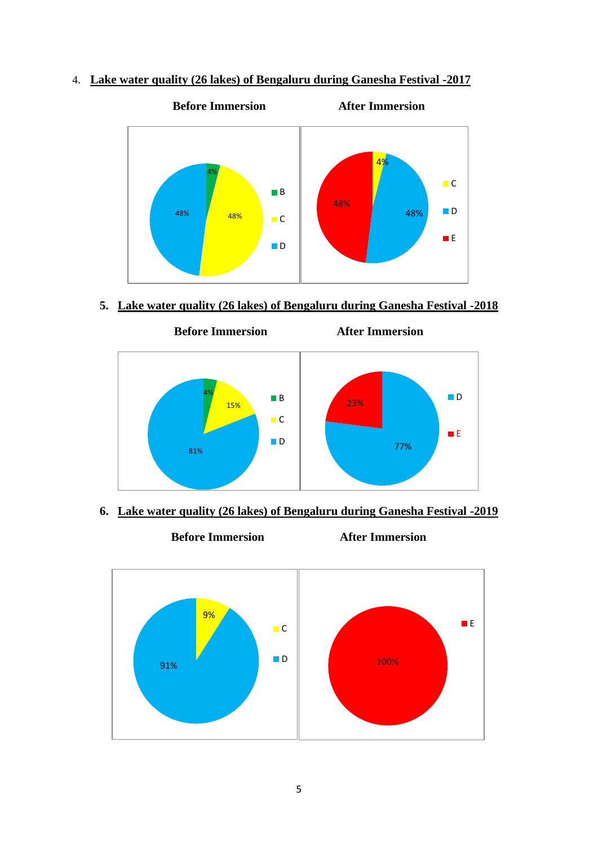4. **Lake water quality (26 lakes) of Bengaluru during Ganesha Festival -2017**



**5. Lake water quality (26 lakes) of Bengaluru during Ganesha Festival -2018**



**6. Lake water quality (26 lakes) of Bengaluru during Ganesha Festival -2019**

**Before Immersion After Immersion**